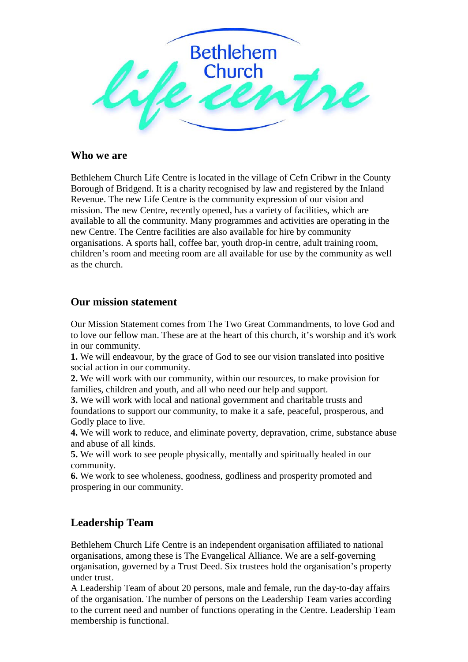

# **Who we are**

Bethlehem Church Life Centre is located in the village of Cefn Cribwr in the County Borough of Bridgend. It is a charity recognised by law and registered by the Inland Revenue. The new Life Centre is the community expression of our vision and mission. The new Centre, recently opened, has a variety of facilities, which are available to all the community. Many programmes and activities are operating in the new Centre. The Centre facilities are also available for hire by community organisations. A sports hall, coffee bar, youth drop-in centre, adult training room, children's room and meeting room are all available for use by the community as well as the church.

# **Our mission statement**

Our Mission Statement comes from The Two Great Commandments, to love God and to love our fellow man. These are at the heart of this church, it's worship and it's work in our community.

**1.** We will endeavour, by the grace of God to see our vision translated into positive social action in our community.

**2.** We will work with our community, within our resources, to make provision for families, children and youth, and all who need our help and support.

**3.** We will work with local and national government and charitable trusts and foundations to support our community, to make it a safe, peaceful, prosperous, and Godly place to live.

**4.** We will work to reduce, and eliminate poverty, depravation, crime, substance abuse and abuse of all kinds.

**5.** We will work to see people physically, mentally and spiritually healed in our community.

**6.** We work to see wholeness, goodness, godliness and prosperity promoted and prospering in our community.

# **Leadership Team**

Bethlehem Church Life Centre is an independent organisation affiliated to national organisations, among these is The Evangelical Alliance. We are a self-governing organisation, governed by a Trust Deed. Six trustees hold the organisation's property under trust.

A Leadership Team of about 20 persons, male and female, run the day-to-day affairs of the organisation. The number of persons on the Leadership Team varies according to the current need and number of functions operating in the Centre. Leadership Team membership is functional.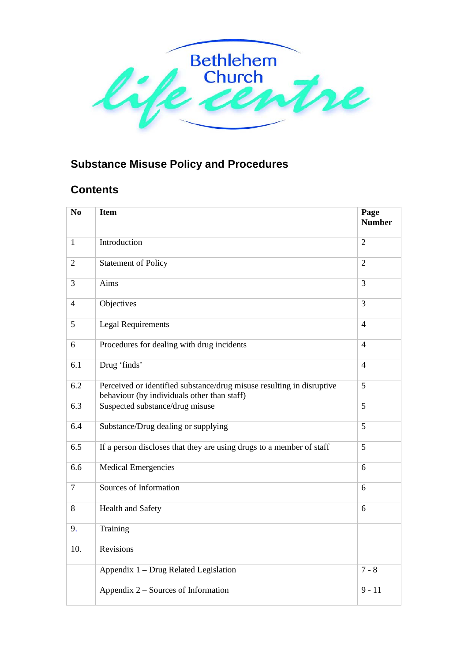

# **Substance Misuse Policy and Procedures**

# **Contents**

| N <sub>o</sub> | <b>Item</b>                                                                                                          | Page<br><b>Number</b> |
|----------------|----------------------------------------------------------------------------------------------------------------------|-----------------------|
| $\mathbf{1}$   | Introduction                                                                                                         | $\overline{2}$        |
| $\overline{2}$ | <b>Statement of Policy</b>                                                                                           | $\overline{2}$        |
| 3              | Aims                                                                                                                 | 3                     |
| $\overline{4}$ | Objectives                                                                                                           | 3                     |
| 5              | <b>Legal Requirements</b>                                                                                            | $\overline{4}$        |
| 6              | Procedures for dealing with drug incidents                                                                           | $\overline{4}$        |
| 6.1            | Drug 'finds'                                                                                                         | $\overline{4}$        |
| 6.2            | Perceived or identified substance/drug misuse resulting in disruptive<br>behaviour (by individuals other than staff) | $\overline{5}$        |
| 6.3            | Suspected substance/drug misuse                                                                                      | 5                     |
| 6.4            | Substance/Drug dealing or supplying                                                                                  | 5                     |
| 6.5            | If a person discloses that they are using drugs to a member of staff                                                 | 5                     |
| 6.6            | <b>Medical Emergencies</b>                                                                                           | 6                     |
| 7              | Sources of Information                                                                                               | 6                     |
| 8              | Health and Safety                                                                                                    | 6                     |
| 9.             | Training                                                                                                             |                       |
| 10.            | <b>Revisions</b>                                                                                                     |                       |
|                | Appendix 1 - Drug Related Legislation                                                                                | $7 - 8$               |
|                | Appendix 2 – Sources of Information                                                                                  | $9 - 11$              |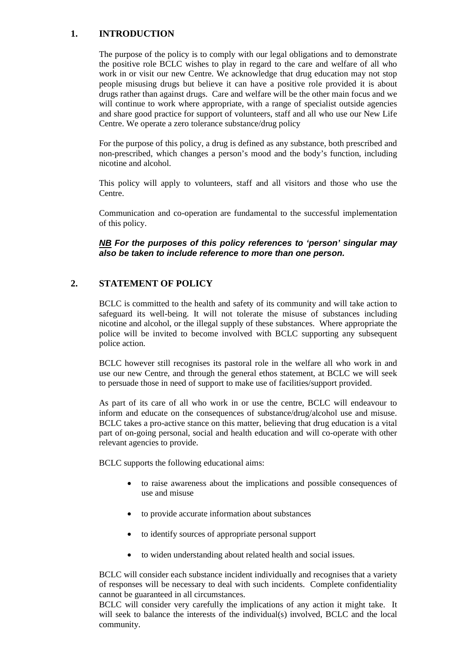### **1. INTRODUCTION**

The purpose of the policy is to comply with our legal obligations and to demonstrate the positive role BCLC wishes to play in regard to the care and welfare of all who work in or visit our new Centre. We acknowledge that drug education may not stop people misusing drugs but believe it can have a positive role provided it is about drugs rather than against drugs. Care and welfare will be the other main focus and we will continue to work where appropriate, with a range of specialist outside agencies and share good practice for support of volunteers, staff and all who use our New Life Centre. We operate a zero tolerance substance/drug policy

For the purpose of this policy, a drug is defined as any substance, both prescribed and non-prescribed, which changes a person's mood and the body's function, including nicotine and alcohol.

This policy will apply to volunteers, staff and all visitors and those who use the Centre.

Communication and co-operation are fundamental to the successful implementation of this policy.

*NB For the purposes of this policy references to 'person' singular may also be taken to include reference to more than one person.*

## **2. STATEMENT OF POLICY**

BCLC is committed to the health and safety of its community and will take action to safeguard its well-being. It will not tolerate the misuse of substances including nicotine and alcohol, or the illegal supply of these substances. Where appropriate the police will be invited to become involved with BCLC supporting any subsequent police action.

BCLC however still recognises its pastoral role in the welfare all who work in and use our new Centre, and through the general ethos statement, at BCLC we will seek to persuade those in need of support to make use of facilities/support provided.

As part of its care of all who work in or use the centre, BCLC will endeavour to inform and educate on the consequences of substance/drug/alcohol use and misuse. BCLC takes a pro-active stance on this matter, believing that drug education is a vital part of on-going personal, social and health education and will co-operate with other relevant agencies to provide.

BCLC supports the following educational aims:

- to raise awareness about the implications and possible consequences of use and misuse
- to provide accurate information about substances
- to identify sources of appropriate personal support
- to widen understanding about related health and social issues.

BCLC will consider each substance incident individually and recognises that a variety of responses will be necessary to deal with such incidents. Complete confidentiality cannot be guaranteed in all circumstances.

BCLC will consider very carefully the implications of any action it might take. It will seek to balance the interests of the individual(s) involved, BCLC and the local community.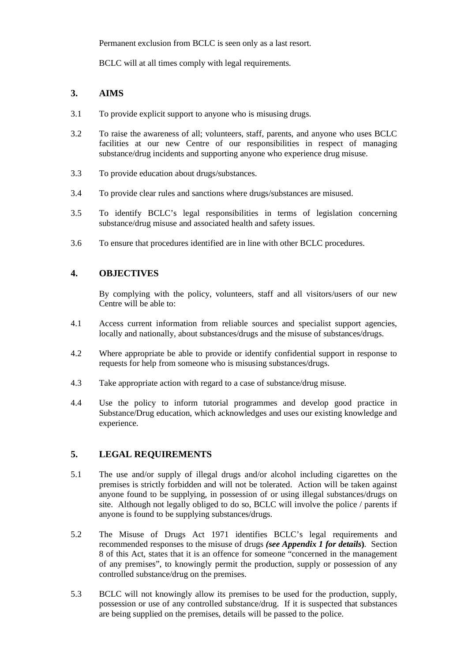Permanent exclusion from BCLC is seen only as a last resort.

BCLC will at all times comply with legal requirements.

## **3. AIMS**

- 3.1 To provide explicit support to anyone who is misusing drugs.
- 3.2 To raise the awareness of all; volunteers, staff, parents, and anyone who uses BCLC facilities at our new Centre of our responsibilities in respect of managing substance/drug incidents and supporting anyone who experience drug misuse.
- 3.3 To provide education about drugs/substances.
- 3.4 To provide clear rules and sanctions where drugs/substances are misused.
- 3.5 To identify BCLC's legal responsibilities in terms of legislation concerning substance/drug misuse and associated health and safety issues.
- 3.6 To ensure that procedures identified are in line with other BCLC procedures.

## **4. OBJECTIVES**

By complying with the policy, volunteers, staff and all visitors/users of our new Centre will be able to:

- 4.1 Access current information from reliable sources and specialist support agencies, locally and nationally, about substances/drugs and the misuse of substances/drugs.
- 4.2 Where appropriate be able to provide or identify confidential support in response to requests for help from someone who is misusing substances/drugs.
- 4.3 Take appropriate action with regard to a case of substance/drug misuse.
- 4.4 Use the policy to inform tutorial programmes and develop good practice in Substance/Drug education, which acknowledges and uses our existing knowledge and experience.

## **5. LEGAL REQUIREMENTS**

- 5.1 The use and/or supply of illegal drugs and/or alcohol including cigarettes on the premises is strictly forbidden and will not be tolerated. Action will be taken against anyone found to be supplying, in possession of or using illegal substances/drugs on site. Although not legally obliged to do so, BCLC will involve the police / parents if anyone is found to be supplying substances/drugs.
- 5.2 The Misuse of Drugs Act 1971 identifies BCLC's legal requirements and recommended responses to the misuse of drugs *(see Appendix 1 for details***)**. Section 8 of this Act, states that it is an offence for someone "concerned in the management of any premises", to knowingly permit the production, supply or possession of any controlled substance/drug on the premises.
- 5.3 BCLC will not knowingly allow its premises to be used for the production, supply, possession or use of any controlled substance/drug. If it is suspected that substances are being supplied on the premises, details will be passed to the police.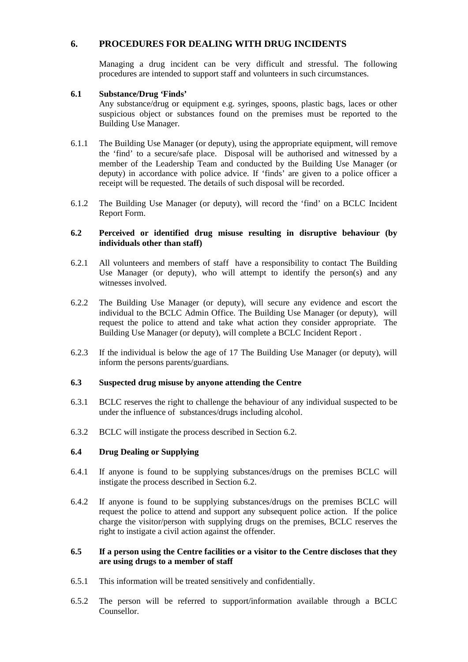## **6. PROCEDURES FOR DEALING WITH DRUG INCIDENTS**

Managing a drug incident can be very difficult and stressful. The following procedures are intended to support staff and volunteers in such circumstances.

#### **6.1 Substance/Drug 'Finds'**

Any substance/drug or equipment e.g. syringes, spoons, plastic bags, laces or other suspicious object or substances found on the premises must be reported to the Building Use Manager.

- 6.1.1 The Building Use Manager (or deputy), using the appropriate equipment, will remove the 'find' to a secure/safe place. Disposal will be authorised and witnessed by a member of the Leadership Team and conducted by the Building Use Manager (or deputy) in accordance with police advice. If 'finds' are given to a police officer a receipt will be requested. The details of such disposal will be recorded.
- 6.1.2 The Building Use Manager (or deputy), will record the 'find' on a BCLC Incident Report Form.

#### **6.2 Perceived or identified drug misuse resulting in disruptive behaviour (by individuals other than staff)**

- 6.2.1 All volunteers and members of staff have a responsibility to contact The Building Use Manager (or deputy), who will attempt to identify the person(s) and any witnesses involved.
- 6.2.2 The Building Use Manager (or deputy), will secure any evidence and escort the individual to the BCLC Admin Office. The Building Use Manager (or deputy), will request the police to attend and take what action they consider appropriate. The Building Use Manager (or deputy), will complete a BCLC Incident Report .
- 6.2.3 If the individual is below the age of 17 The Building Use Manager (or deputy), will inform the persons parents/guardians.

#### **6.3 Suspected drug misuse by anyone attending the Centre**

- 6.3.1 BCLC reserves the right to challenge the behaviour of any individual suspected to be under the influence of substances/drugs including alcohol.
- 6.3.2 BCLC will instigate the process described in Section 6.2.

#### **6.4 Drug Dealing or Supplying**

- 6.4.1 If anyone is found to be supplying substances/drugs on the premises BCLC will instigate the process described in Section 6.2.
- 6.4.2 If anyone is found to be supplying substances/drugs on the premises BCLC will request the police to attend and support any subsequent police action. If the police charge the visitor/person with supplying drugs on the premises, BCLC reserves the right to instigate a civil action against the offender.

#### **6.5 If a person using the Centre facilities or a visitor to the Centre discloses that they are using drugs to a member of staff**

- 6.5.1 This information will be treated sensitively and confidentially.
- 6.5.2 The person will be referred to support/information available through a BCLC Counsellor.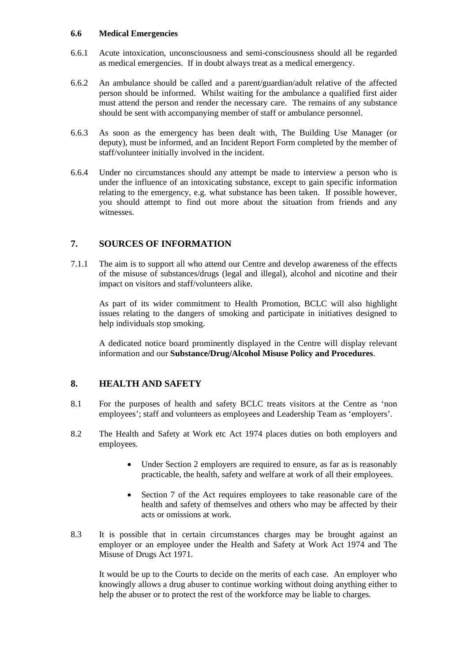#### **6.6 Medical Emergencies**

- 6.6.1 Acute intoxication, unconsciousness and semi-consciousness should all be regarded as medical emergencies. If in doubt always treat as a medical emergency.
- 6.6.2 An ambulance should be called and a parent/guardian/adult relative of the affected person should be informed. Whilst waiting for the ambulance a qualified first aider must attend the person and render the necessary care. The remains of any substance should be sent with accompanying member of staff or ambulance personnel.
- 6.6.3 As soon as the emergency has been dealt with, The Building Use Manager (or deputy), must be informed, and an Incident Report Form completed by the member of staff/volunteer initially involved in the incident.
- 6.6.4 Under no circumstances should any attempt be made to interview a person who is under the influence of an intoxicating substance, except to gain specific information relating to the emergency, e.g. what substance has been taken. If possible however, you should attempt to find out more about the situation from friends and any witnesses.

# **7. SOURCES OF INFORMATION**

7.1.1 The aim is to support all who attend our Centre and develop awareness of the effects of the misuse of substances/drugs (legal and illegal), alcohol and nicotine and their impact on visitors and staff/volunteers alike.

As part of its wider commitment to Health Promotion, BCLC will also highlight issues relating to the dangers of smoking and participate in initiatives designed to help individuals stop smoking.

A dedicated notice board prominently displayed in the Centre will display relevant information and our **Substance/Drug/Alcohol Misuse Policy and Procedures**.

# **8. HEALTH AND SAFETY**

- 8.1 For the purposes of health and safety BCLC treats visitors at the Centre as 'non employees'; staff and volunteers as employees and Leadership Team as 'employers'.
- 8.2 The Health and Safety at Work etc Act 1974 places duties on both employers and employees.
	- Under Section 2 employers are required to ensure, as far as is reasonably practicable, the health, safety and welfare at work of all their employees.
	- Section 7 of the Act requires employees to take reasonable care of the health and safety of themselves and others who may be affected by their acts or omissions at work.
- 8.3 It is possible that in certain circumstances charges may be brought against an employer or an employee under the Health and Safety at Work Act 1974 and The Misuse of Drugs Act 1971.

It would be up to the Courts to decide on the merits of each case. An employer who knowingly allows a drug abuser to continue working without doing anything either to help the abuser or to protect the rest of the workforce may be liable to charges.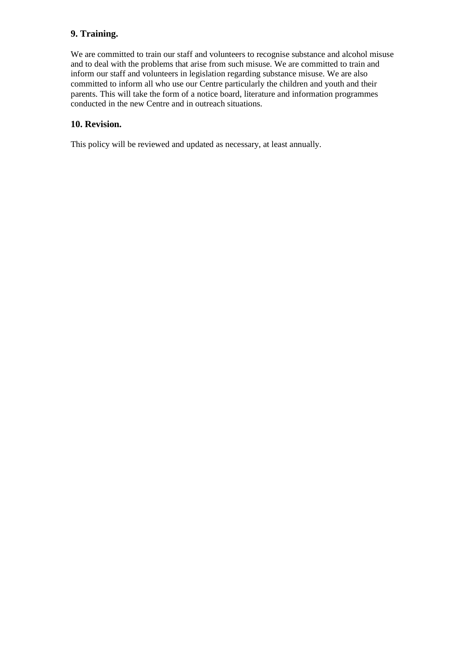# **9. Training.**

We are committed to train our staff and volunteers to recognise substance and alcohol misuse and to deal with the problems that arise from such misuse. We are committed to train and inform our staff and volunteers in legislation regarding substance misuse. We are also committed to inform all who use our Centre particularly the children and youth and their parents. This will take the form of a notice board, literature and information programmes conducted in the new Centre and in outreach situations.

## **10. Revision.**

This policy will be reviewed and updated as necessary, at least annually.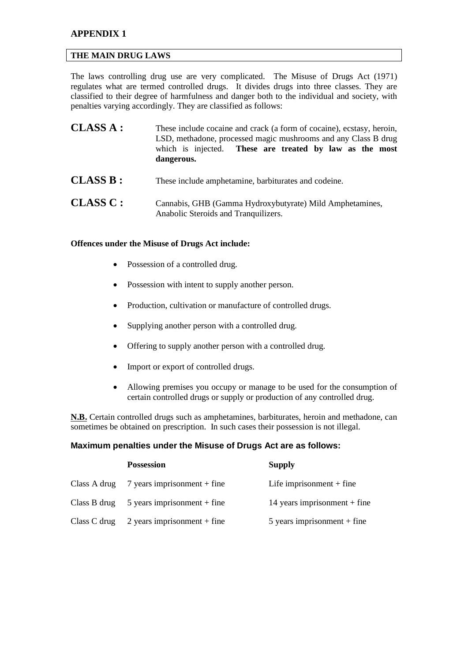## **APPENDIX 1**

#### **THE MAIN DRUG LAWS**

The laws controlling drug use are very complicated. The Misuse of Drugs Act (1971) regulates what are termed controlled drugs. It divides drugs into three classes. They are classified to their degree of harmfulness and danger both to the individual and society, with penalties varying accordingly. They are classified as follows:

| <b>CLASS A:</b> | These include cocaine and crack (a form of cocaine), ecstasy, heroin,<br>LSD, methadone, processed magic mushrooms and any Class B drug<br>which is injected. These are treated by law as the most<br>dangerous. |
|-----------------|------------------------------------------------------------------------------------------------------------------------------------------------------------------------------------------------------------------|
| <b>CLASS B:</b> | These include amphetamine, barbiturates and codeine.                                                                                                                                                             |
| CLASSC:         | Cannabis, GHB (Gamma Hydroxybutyrate) Mild Amphetamines,<br>Anabolic Steroids and Tranquilizers.                                                                                                                 |

#### **Offences under the Misuse of Drugs Act include:**

- Possession of a controlled drug.
- Possession with intent to supply another person.
- Production, cultivation or manufacture of controlled drugs.
- Supplying another person with a controlled drug.
- Offering to supply another person with a controlled drug.
- Import or export of controlled drugs.
- Allowing premises you occupy or manage to be used for the consumption of certain controlled drugs or supply or production of any controlled drug.

**N.B.** Certain controlled drugs such as amphetamines, barbiturates, heroin and methadone, can sometimes be obtained on prescription. In such cases their possession is not illegal.

#### **Maximum penalties under the Misuse of Drugs Act are as follows:**

|              | <b>Possession</b>             | <b>Supply</b>                  |
|--------------|-------------------------------|--------------------------------|
| Class A drug | 7 years imprisonment $+$ fine | Life imprisonment $+$ fine     |
| Class B drug | $5$ years imprisonment + fine | 14 years imprisonment $+$ fine |
| Class C drug | 2 years imprisonment $+$ fine | $5$ years imprisonment + fine  |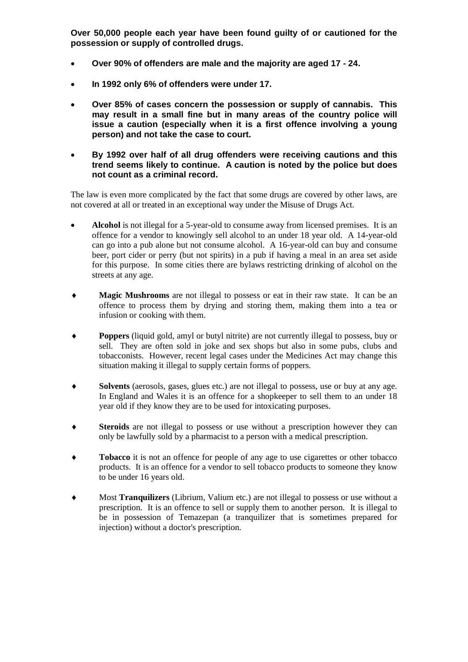**Over 50,000 people each year have been found guilty of or cautioned for the possession or supply of controlled drugs.** 

- **Over 90% of offenders are male and the majority are aged 17 - 24.**
- **In 1992 only 6% of offenders were under 17.**
- **Over 85% of cases concern the possession or supply of cannabis. This may result in a small fine but in many areas of the country police will issue a caution (especially when it is a first offence involving a young person) and not take the case to court.**
- **By 1992 over half of all drug offenders were receiving cautions and this trend seems likely to continue. A caution is noted by the police but does not count as a criminal record.**

The law is even more complicated by the fact that some drugs are covered by other laws, are not covered at all or treated in an exceptional way under the Misuse of Drugs Act.

- **Alcohol** is not illegal for a 5-year-old to consume away from licensed premises. It is an offence for a vendor to knowingly sell alcohol to an under 18 year old. A 14-year-old can go into a pub alone but not consume alcohol. A 16-year-old can buy and consume beer, port cider or perry (but not spirits) in a pub if having a meal in an area set aside for this purpose. In some cities there are bylaws restricting drinking of alcohol on the streets at any age.
- ♦ **Magic Mushrooms** are not illegal to possess or eat in their raw state. It can be an offence to process them by drying and storing them, making them into a tea or infusion or cooking with them.
- **Poppers** (liquid gold, amyl or butyl nitrite) are not currently illegal to possess, buy or sell. They are often sold in joke and sex shops but also in some pubs, clubs and tobacconists. However, recent legal cases under the Medicines Act may change this situation making it illegal to supply certain forms of poppers.
- ♦ **Solvents** (aerosols, gases, glues etc.) are not illegal to possess, use or buy at any age. In England and Wales it is an offence for a shopkeeper to sell them to an under 18 year old if they know they are to be used for intoxicating purposes.
- **Steroids** are not illegal to possess or use without a prescription however they can only be lawfully sold by a pharmacist to a person with a medical prescription.
- **Tobacco** it is not an offence for people of any age to use cigarettes or other tobacco products. It is an offence for a vendor to sell tobacco products to someone they know to be under 16 years old.
- Most **Tranquilizers** (Librium, Valium etc.) are not illegal to possess or use without a prescription. It is an offence to sell or supply them to another person. It is illegal to be in possession of Temazepan (a tranquilizer that is sometimes prepared for injection) without a doctor's prescription.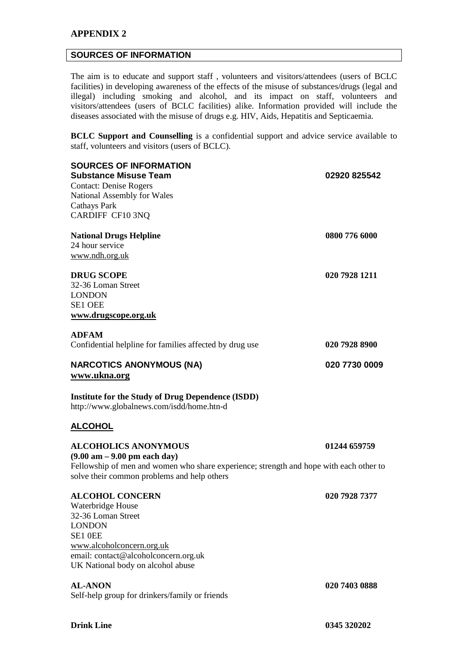### **APPENDIX 2**

#### **SOURCES OF INFORMATION**

The aim is to educate and support staff , volunteers and visitors/attendees (users of BCLC facilities) in developing awareness of the effects of the misuse of substances/drugs (legal and illegal) including smoking and alcohol, and its impact on staff, volunteers and visitors/attendees (users of BCLC facilities) alike. Information provided will include the diseases associated with the misuse of drugs e.g. HIV, Aids, Hepatitis and Septicaemia.

**BCLC Support and Counselling** is a confidential support and advice service available to staff, volunteers and visitors (users of BCLC).

| <b>SOURCES OF INFORMATION</b><br><b>Substance Misuse Team</b><br><b>Contact: Denise Rogers</b><br>National Assembly for Wales<br><b>Cathays Park</b><br>CARDIFF CF10 3NQ                                                       | 02920 825542  |  |  |  |  |
|--------------------------------------------------------------------------------------------------------------------------------------------------------------------------------------------------------------------------------|---------------|--|--|--|--|
| <b>National Drugs Helpline</b><br>24 hour service<br>www.ndh.org.uk                                                                                                                                                            | 0800 776 6000 |  |  |  |  |
| <b>DRUG SCOPE</b><br>32-36 Loman Street<br><b>LONDON</b><br><b>SE1 OEE</b><br>www.drugscope.org.uk                                                                                                                             | 020 7928 1211 |  |  |  |  |
| <b>ADFAM</b><br>Confidential helpline for families affected by drug use                                                                                                                                                        | 020 7928 8900 |  |  |  |  |
| <b>NARCOTICS ANONYMOUS (NA)</b><br>www.ukna.org                                                                                                                                                                                | 020 7730 0009 |  |  |  |  |
| <b>Institute for the Study of Drug Dependence (ISDD)</b><br>http://www.globalnews.com/isdd/home.htn-d                                                                                                                          |               |  |  |  |  |
| <b>ALCOHOL</b>                                                                                                                                                                                                                 |               |  |  |  |  |
| <b>ALCOHOLICS ANONYMOUS</b><br>$(9.00 \text{ am} - 9.00 \text{ pm} \text{ each day})$<br>Fellowship of men and women who share experience; strength and hope with each other to<br>solve their common problems and help others | 01244 659759  |  |  |  |  |
| <b>ALCOHOL CONCERN</b><br>Waterbridge House<br>32-36 Loman Street<br><b>LONDON</b><br>SE1 OEE<br>www.alcoholconcern.org.uk<br>email: contact@alcoholconcern.org.uk<br>UK National body on alcohol abuse                        | 020 7928 7377 |  |  |  |  |
| <b>AL-ANON</b><br>Self-help group for drinkers/family or friends                                                                                                                                                               | 020 7403 0888 |  |  |  |  |